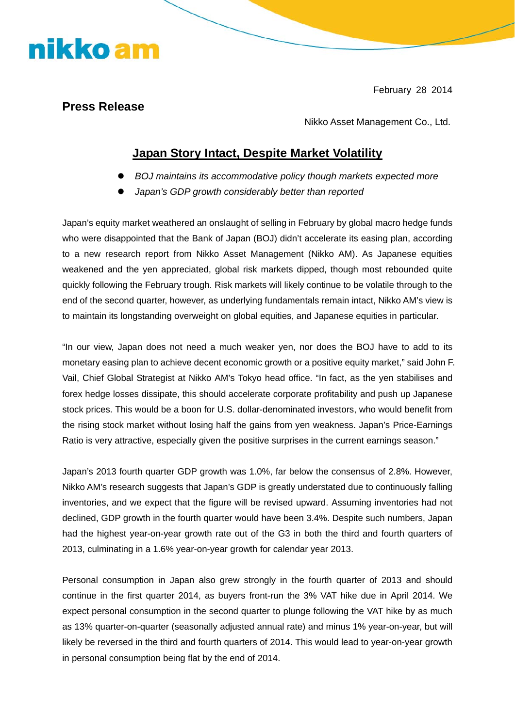February 28 2014

## **Press Release**

nikko am

Nikko Asset Management Co., Ltd.

## **Japan Story Intact, Despite Market Volatility**

- BOJ maintains its accommodative policy though markets expected more
- Japan's GDP growth considerably better than reported

Japan's equity market weathered an onslaught of selling in February by global macro hedge funds who were disappointed that the Bank of Japan (BOJ) didn't accelerate its easing plan, according to a new research report from Nikko Asset Management (Nikko AM). As Japanese equities weakened and the yen appreciated, global risk markets dipped, though most rebounded quite quickly following the February trough. Risk markets will likely continue to be volatile through to the end of the second quarter, however, as underlying fundamentals remain intact, Nikko AM's view is to maintain its longstanding overweight on global equities, and Japanese equities in particular.

"In our view, Japan does not need a much weaker yen, nor does the BOJ have to add to its monetary easing plan to achieve decent economic growth or a positive equity market," said John F. Vail, Chief Global Strategist at Nikko AM's Tokyo head office. "In fact, as the yen stabilises and forex hedge losses dissipate, this should accelerate corporate profitability and push up Japanese stock prices. This would be a boon for U.S. dollar-denominated investors, who would benefit from the rising stock market without losing half the gains from yen weakness. Japan's Price-Earnings Ratio is very attractive, especially given the positive surprises in the current earnings season."

Japan's 2013 fourth quarter GDP growth was 1.0%, far below the consensus of 2.8%. However, Nikko AM's research suggests that Japan's GDP is greatly understated due to continuously falling inventories, and we expect that the figure will be revised upward. Assuming inventories had not declined, GDP growth in the fourth quarter would have been 3.4%. Despite such numbers, Japan had the highest year-on-year growth rate out of the G3 in both the third and fourth quarters of 2013, culminating in a 1.6% year-on-year growth for calendar year 2013.

Personal consumption in Japan also grew strongly in the fourth quarter of 2013 and should continue in the first quarter 2014, as buyers front-run the 3% VAT hike due in April 2014. We expect personal consumption in the second quarter to plunge following the VAT hike by as much as 13% quarter-on-quarter (seasonally adjusted annual rate) and minus 1% year-on-year, but will likely be reversed in the third and fourth quarters of 2014. This would lead to year-on-year growth in personal consumption being flat by the end of 2014.